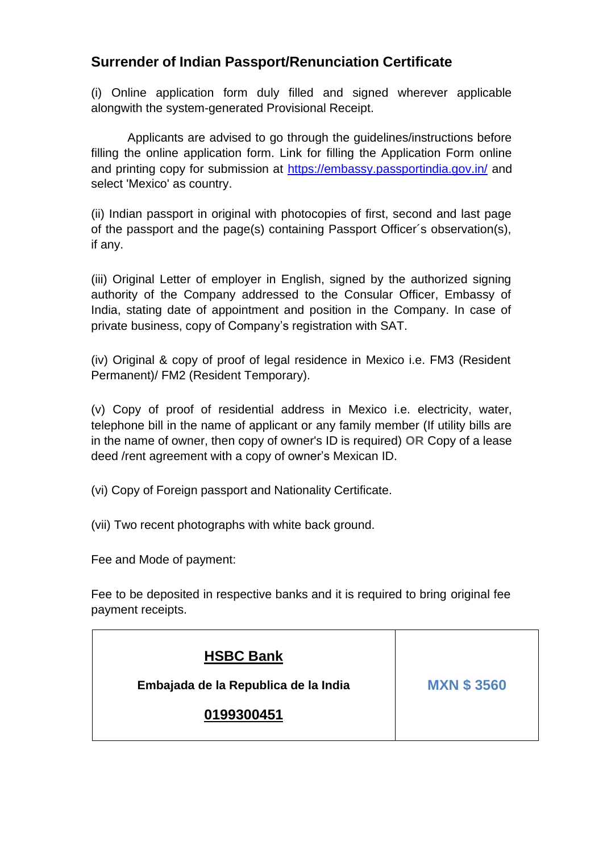## **Surrender of Indian Passport/Renunciation Certificate**

(i) Online application form duly filled and signed wherever applicable alongwith the system-generated Provisional Receipt.

Applicants are advised to go through the guidelines/instructions before filling the online application form. Link for filling the Application Form online and printing copy for submission at<https://embassy.passportindia.gov.in/> and select 'Mexico' as country.

(ii) Indian passport in original with photocopies of first, second and last page of the passport and the page(s) containing Passport Officer´s observation(s), if any.

(iii) Original Letter of employer in English, signed by the authorized signing authority of the Company addressed to the Consular Officer, Embassy of India, stating date of appointment and position in the Company. In case of private business, copy of Company's registration with SAT.

(iv) Original & copy of proof of legal residence in Mexico i.e. FM3 (Resident Permanent)/ FM2 (Resident Temporary).

(v) Copy of proof of residential address in Mexico i.e. electricity, water, telephone bill in the name of applicant or any family member (If utility bills are in the name of owner, then copy of owner's ID is required) **OR** Copy of a lease deed /rent agreement with a copy of owner's Mexican ID.

- (vi) Copy of Foreign passport and Nationality Certificate.
- (vii) Two recent photographs with white back ground.

Fee and Mode of payment:

Fee to be deposited in respective banks and it is required to bring original fee payment receipts.

| <b>HSBC Bank</b>                     |                   |
|--------------------------------------|-------------------|
| Embajada de la Republica de la India | <b>MXN \$3560</b> |
| 0199300451                           |                   |